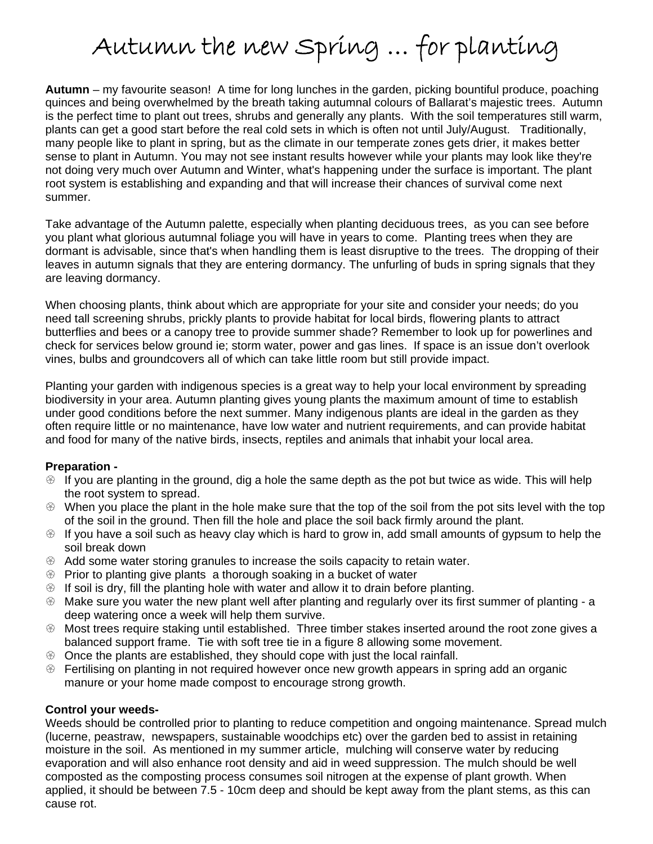# Autumn the new Spring … for planting

**Autumn** – my favourite season! A time for long lunches in the garden, picking bountiful produce, poaching quinces and being overwhelmed by the breath taking autumnal colours of Ballarat's majestic trees. Autumn is the perfect time to plant out trees, shrubs and generally any plants. With the soil temperatures still warm, plants can get a good start before the real cold sets in which is often not until July/August. Traditionally, many people like to plant in spring, but as the climate in our temperate zones gets drier, it makes better sense to plant in Autumn. You may not see instant results however while your plants may look like they're not doing very much over Autumn and Winter, what's happening under the surface is important. The plant root system is establishing and expanding and that will increase their chances of survival come next summer.

Take advantage of the Autumn palette, especially when planting deciduous trees, as you can see before you plant what glorious autumnal foliage you will have in years to come. Planting trees when they are dormant is advisable, since that's when handling them is least disruptive to the trees. The dropping of their leaves in autumn signals that they are entering dormancy. The unfurling of buds in spring signals that they are leaving dormancy.

When choosing plants, think about which are appropriate for your site and consider your needs; do you need tall screening shrubs, prickly plants to provide habitat for local birds, flowering plants to attract butterflies and bees or a canopy tree to provide summer shade? Remember to look up for powerlines and check for services below ground ie; storm water, power and gas lines. If space is an issue don't overlook vines, bulbs and groundcovers all of which can take little room but still provide impact.

Planting your garden with indigenous species is a great way to help your local environment by spreading biodiversity in your area. Autumn planting gives young plants the maximum amount of time to establish under good conditions before the next summer. Many indigenous plants are ideal in the garden as they often require little or no maintenance, have low water and nutrient requirements, and can provide habitat and food for many of the native birds, insects, reptiles and animals that inhabit your local area.

### **Preparation -**

- $\circledast$  If you are planting in the ground, dig a hole the same depth as the pot but twice as wide. This will help the root system to spread.
- $\odot$  When you place the plant in the hole make sure that the top of the soil from the pot sits level with the top of the soil in the ground. Then fill the hole and place the soil back firmly around the plant.
- $\circledast$  If you have a soil such as heavy clay which is hard to grow in, add small amounts of gypsum to help the soil break down
- $\otimes$  Add some water storing granules to increase the soils capacity to retain water.
- $\circledast$  Prior to planting give plants a thorough soaking in a bucket of water
- $\odot$  If soil is dry, fill the planting hole with water and allow it to drain before planting.
- $\circledast$  Make sure you water the new plant well after planting and regularly over its first summer of planting a deep watering once a week will help them survive.
- $\circledast$  Most trees require staking until established. Three timber stakes inserted around the root zone gives a balanced support frame. Tie with soft tree tie in a figure 8 allowing some movement.
- $\circledast$  Once the plants are established, they should cope with just the local rainfall.
- $\circledast$  Fertilising on planting in not required however once new growth appears in spring add an organic manure or your home made compost to encourage strong growth.

### **Control your weeds-**

Weeds should be controlled prior to planting to reduce competition and ongoing maintenance. Spread mulch (lucerne, peastraw, newspapers, sustainable woodchips etc) over the garden bed to assist in retaining moisture in the soil. As mentioned in my summer article, mulching will conserve water by reducing evaporation and will also enhance root density and aid in weed suppression. The mulch should be well composted as the composting process consumes soil nitrogen at the expense of plant growth. When applied, it should be between 7.5 - 10cm deep and should be kept away from the plant stems, as this can cause rot.